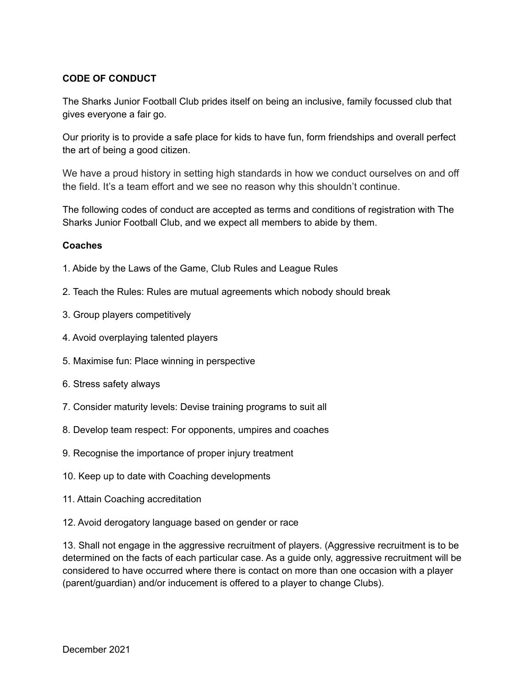## **CODE OF CONDUCT**

The Sharks Junior Football Club prides itself on being an inclusive, family focussed club that gives everyone a fair go.

Our priority is to provide a safe place for kids to have fun, form friendships and overall perfect the art of being a good citizen.

We have a proud history in setting high standards in how we conduct ourselves on and off the field. It's a team effort and we see no reason why this shouldn't continue.

The following codes of conduct are accepted as terms and conditions of registration with The Sharks Junior Football Club, and we expect all members to abide by them.

## **Coaches**

- 1. Abide by the Laws of the Game, Club Rules and League Rules
- 2. Teach the Rules: Rules are mutual agreements which nobody should break
- 3. Group players competitively
- 4. Avoid overplaying talented players
- 5. Maximise fun: Place winning in perspective
- 6. Stress safety always
- 7. Consider maturity levels: Devise training programs to suit all
- 8. Develop team respect: For opponents, umpires and coaches
- 9. Recognise the importance of proper injury treatment
- 10. Keep up to date with Coaching developments
- 11. Attain Coaching accreditation
- 12. Avoid derogatory language based on gender or race

13. Shall not engage in the aggressive recruitment of players. (Aggressive recruitment is to be determined on the facts of each particular case. As a guide only, aggressive recruitment will be considered to have occurred where there is contact on more than one occasion with a player (parent/guardian) and/or inducement is offered to a player to change Clubs).